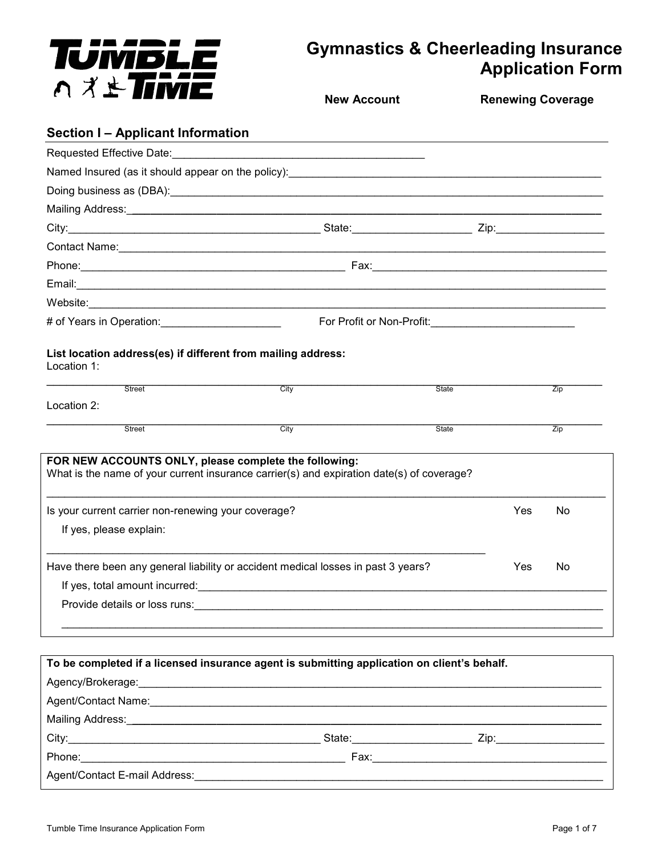

# **Gymnastics & Cheerleading Insurance Application Form**

**Section I – Applicant Information**  Requested Effective Date: Named Insured (as it should appear on the policy): \_\_\_\_\_\_\_\_\_\_\_\_\_\_\_\_\_\_\_\_\_\_\_\_\_\_\_\_\_ Doing business as (DBA):\_\_\_\_\_\_\_\_\_\_\_\_\_\_\_\_\_\_\_\_\_\_\_\_\_\_\_\_\_\_\_\_\_\_\_\_\_\_\_\_\_\_\_\_\_\_\_\_\_\_\_\_\_\_\_\_\_\_\_\_\_\_\_\_\_\_\_\_\_\_\_\_ Mailing Address:\_**\_\_\_\_\_\_\_\_\_\_\_\_\_\_\_\_\_\_\_\_\_\_\_\_\_\_\_\_\_\_\_\_\_\_\_\_\_\_\_\_\_\_\_\_\_\_\_\_\_\_\_\_\_\_\_\_\_\_\_\_\_\_\_\_\_\_\_\_\_\_\_\_\_\_\_\_\_\_**  City:\_\_\_\_\_\_\_\_\_\_\_\_\_\_\_\_\_\_\_\_\_\_\_\_\_\_\_\_\_\_\_\_\_\_\_\_\_\_\_\_\_\_ State:\_\_\_\_\_\_\_\_\_\_\_\_\_\_\_\_\_\_\_\_ Zip:\_\_\_\_\_\_\_\_\_\_\_\_\_\_\_\_\_\_ Contact Name:  $\Box$ Phone:\_\_\_\_\_\_\_\_\_\_\_\_\_\_\_\_\_\_\_\_\_\_\_\_\_\_\_\_\_\_\_\_\_\_\_\_\_\_\_\_\_\_\_\_ Fax:\_\_\_\_\_\_\_\_\_\_\_\_\_\_\_\_\_\_\_\_\_\_\_\_\_\_\_\_\_\_\_\_\_\_\_\_\_\_\_ Email:\_\_\_\_\_\_\_\_\_\_\_\_\_\_\_\_\_\_\_\_\_\_\_\_\_\_\_\_\_\_\_\_\_\_\_\_\_\_\_\_\_\_\_\_\_\_\_\_\_\_\_\_\_\_\_\_\_\_\_\_\_\_\_\_\_\_\_\_\_\_\_\_\_\_\_\_\_\_\_\_\_\_\_\_\_\_\_\_ Website:\_\_\_\_\_\_\_\_\_\_\_\_\_\_\_\_\_\_\_\_\_\_\_\_\_\_\_\_\_\_\_\_\_\_\_\_\_\_\_\_\_\_\_\_\_\_\_\_\_\_\_\_\_\_\_\_\_\_\_\_\_\_\_\_\_\_\_\_\_\_\_\_\_\_\_\_\_\_\_\_\_\_\_\_\_\_ # of Years in Operation:\_\_\_\_\_\_\_\_\_\_\_\_\_\_\_\_\_\_\_\_ For Profit or Non-Profit:\_\_\_\_\_\_\_\_\_\_\_\_\_\_\_\_\_\_\_\_\_\_\_\_ **List location address(es) if different from mailing address:**  \_\_\_\_\_\_\_\_\_\_\_\_\_\_\_\_\_\_\_\_\_\_\_\_\_\_\_\_\_\_\_\_\_\_\_\_\_\_\_\_\_\_\_\_\_\_\_\_\_\_\_\_\_\_\_\_\_\_\_\_\_\_\_\_\_\_\_\_\_\_\_\_\_\_\_\_\_\_\_\_\_\_\_\_ Street City State Zip \_\_\_\_\_\_\_\_\_\_\_\_\_\_\_\_\_\_\_\_\_\_\_\_\_\_\_\_\_\_\_\_\_\_\_\_\_\_\_\_\_\_\_\_\_\_\_\_\_\_\_\_\_\_\_\_\_\_\_\_\_\_\_\_\_\_\_\_\_\_\_\_\_\_\_\_\_\_\_\_\_\_\_\_ Street City State Zip  $\overline{Zip}$ **FOR NEW ACCOUNTS ONLY, please complete the following:**  What is the name of your current insurance carrier(s) and expiration date(s) of coverage?  $\_$  ,  $\_$  ,  $\_$  ,  $\_$  ,  $\_$  ,  $\_$  ,  $\_$  ,  $\_$  ,  $\_$  ,  $\_$  ,  $\_$  ,  $\_$  ,  $\_$  ,  $\_$  ,  $\_$  ,  $\_$  ,  $\_$  ,  $\_$  ,  $\_$  ,  $\_$  ,  $\_$  ,  $\_$  ,  $\_$  ,  $\_$  ,  $\_$  ,  $\_$  ,  $\_$  ,  $\_$  ,  $\_$  ,  $\_$  ,  $\_$  ,  $\_$  ,  $\_$  ,  $\_$  ,  $\_$  ,  $\_$  ,  $\_$  , Is your current carrier non-renewing your coverage? The Manus of the Manus of the Ves No **New Account Renewing Coverage** 

If yes, please explain:

Location 1:

Location 2:

 $\_$  ,  $\_$  ,  $\_$  ,  $\_$  ,  $\_$  ,  $\_$  ,  $\_$  ,  $\_$  ,  $\_$  ,  $\_$  ,  $\_$  ,  $\_$  ,  $\_$  ,  $\_$  ,  $\_$  ,  $\_$  ,  $\_$  ,  $\_$  ,  $\_$  ,  $\_$  ,  $\_$  ,  $\_$  ,  $\_$  ,  $\_$  ,  $\_$  ,  $\_$  ,  $\_$  ,  $\_$  ,  $\_$  ,  $\_$  ,  $\_$  ,  $\_$  ,  $\_$  ,  $\_$  ,  $\_$  ,  $\_$  ,  $\_$  , Have there been any general liability or accident medical losses in past 3 years? Yes No If yes, total amount incurred:\_\_\_\_\_\_\_\_\_\_\_\_\_\_\_\_\_\_\_\_\_\_\_\_\_\_\_\_\_\_\_\_\_\_\_\_\_\_\_\_\_\_\_\_\_\_\_\_\_\_\_\_\_\_\_\_\_\_\_\_\_\_\_\_\_\_\_\_ Provide details or loss runs: **Example 20** and the set of the set of the set of the set of the set of the set of the set of the set of the set of the set of the set of the set of the set of the set of the set of the set of

 $\frac{1}{2}$  ,  $\frac{1}{2}$  ,  $\frac{1}{2}$  ,  $\frac{1}{2}$  ,  $\frac{1}{2}$  ,  $\frac{1}{2}$  ,  $\frac{1}{2}$  ,  $\frac{1}{2}$  ,  $\frac{1}{2}$  ,  $\frac{1}{2}$  ,  $\frac{1}{2}$  ,  $\frac{1}{2}$  ,  $\frac{1}{2}$  ,  $\frac{1}{2}$  ,  $\frac{1}{2}$  ,  $\frac{1}{2}$  ,  $\frac{1}{2}$  ,  $\frac{1}{2}$  ,  $\frac{1$ 

| To be completed if a licensed insurance agent is submitting application on client's behalf.                                                                                                                                    |                                                                                                                |
|--------------------------------------------------------------------------------------------------------------------------------------------------------------------------------------------------------------------------------|----------------------------------------------------------------------------------------------------------------|
|                                                                                                                                                                                                                                |                                                                                                                |
| Agent/Contact Name: Name: Name: Name and Agent/Contact Name: Name and Agent/Contact Name: Name and Agent/Contact Name and Agent/Contact Name and Agent/Contact Name and Agent/Contact Name and Agent/Contact Name and Agent/Co |                                                                                                                |
|                                                                                                                                                                                                                                |                                                                                                                |
|                                                                                                                                                                                                                                | State: Zip: 2001 2002 2003 2004 2004 2005 2006 2007 2008 2009 2007 2008 2009 2009 2007 2008 2009 2009 2009 200 |
|                                                                                                                                                                                                                                |                                                                                                                |
| Agent/Contact E-mail Address: North and the state of the state of the state of the state of the state of the state of the state of the state of the state of the state of the state of the state of the state of the state of  |                                                                                                                |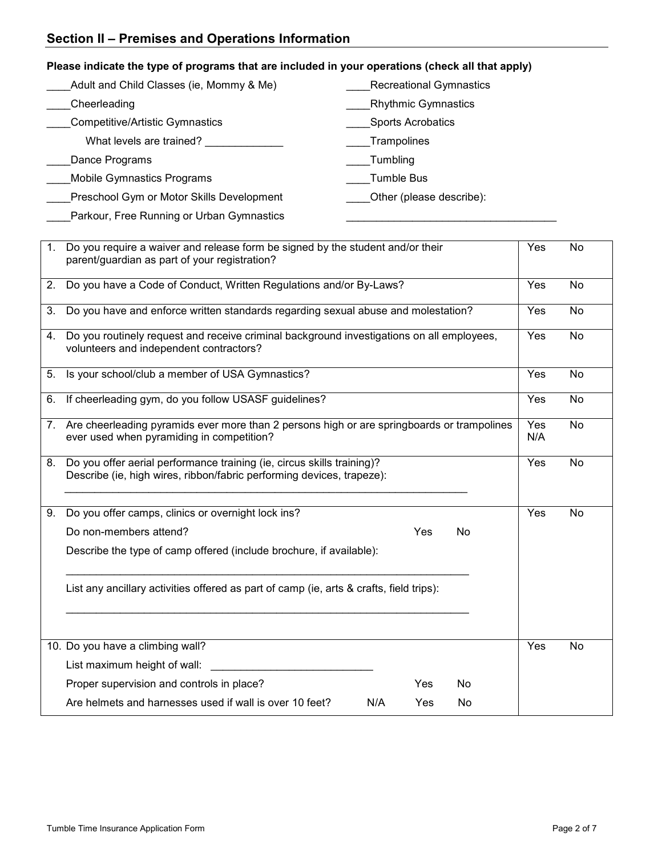| Please indicate the type of programs that are included in your operations (check all that apply) |  |
|--------------------------------------------------------------------------------------------------|--|
|                                                                                                  |  |

| Adult and Child Classes (ie, Mommy & Me)  | <b>Recreational Gymnastics</b> |
|-------------------------------------------|--------------------------------|
| Cheerleading                              | <b>Rhythmic Gymnastics</b>     |
| <b>Competitive/Artistic Gymnastics</b>    | <b>Sports Acrobatics</b>       |
| What levels are trained?                  | <b>Trampolines</b>             |
| Dance Programs                            | Tumbling                       |
| <b>Mobile Gymnastics Programs</b>         | Tumble Bus                     |
| Preschool Gym or Motor Skills Development | Other (please describe):       |
| Parkour, Free Running or Urban Gymnastics |                                |

| 1. | Do you require a waiver and release form be signed by the student and/or their<br>parent/guardian as part of your registration?                 |            | <b>No</b> |
|----|-------------------------------------------------------------------------------------------------------------------------------------------------|------------|-----------|
| 2. | Do you have a Code of Conduct, Written Regulations and/or By-Laws?                                                                              | Yes        | <b>No</b> |
| 3. | Do you have and enforce written standards regarding sexual abuse and molestation?                                                               | Yes        | No        |
| 4. | Do you routinely request and receive criminal background investigations on all employees,<br>volunteers and independent contractors?            | Yes        | No        |
| 5. | Is your school/club a member of USA Gymnastics?                                                                                                 | Yes        | <b>No</b> |
| 6. | If cheerleading gym, do you follow USASF guidelines?                                                                                            | Yes        | No        |
|    | 7. Are cheerleading pyramids ever more than 2 persons high or are springboards or trampolines<br>ever used when pyramiding in competition?      | Yes<br>N/A | <b>No</b> |
| 8. | Do you offer aerial performance training (ie, circus skills training)?<br>Describe (ie, high wires, ribbon/fabric performing devices, trapeze): | Yes        | No        |
| 9. | Do you offer camps, clinics or overnight lock ins?                                                                                              | Yes        | <b>No</b> |
|    | Do non-members attend?<br>Yes<br>No                                                                                                             |            |           |
|    | Describe the type of camp offered (include brochure, if available):                                                                             |            |           |
|    | List any ancillary activities offered as part of camp (ie, arts & crafts, field trips):                                                         |            |           |
|    | 10. Do you have a climbing wall?                                                                                                                | Yes        | No        |
|    | List maximum height of wall:                                                                                                                    |            |           |
|    | Proper supervision and controls in place?<br>Yes<br>No.                                                                                         |            |           |
|    | Are helmets and harnesses used if wall is over 10 feet?<br>N/A<br>Yes<br><b>No</b>                                                              |            |           |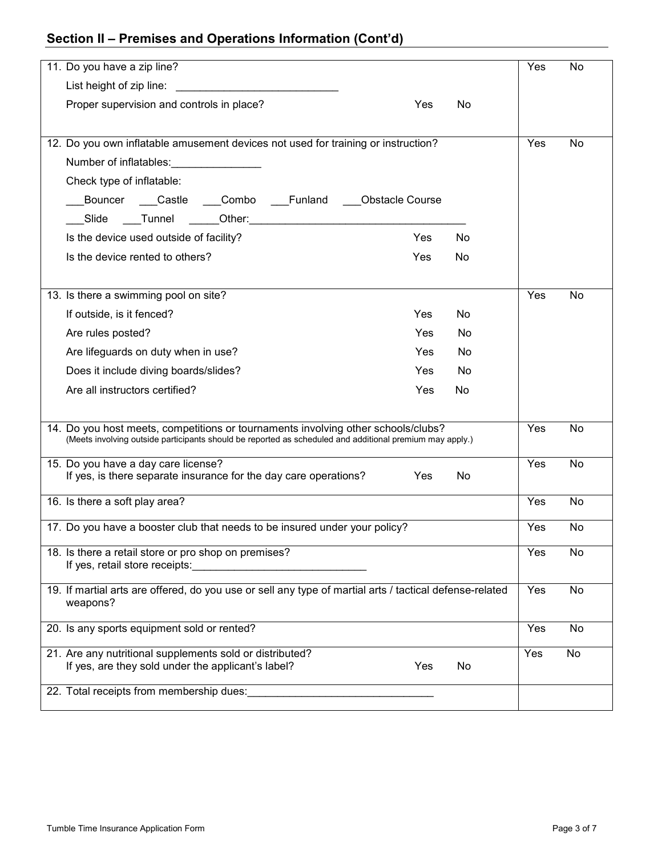# **Section II – Premises and Operations Information (Cont'd)**

| 11. Do you have a zip line?                                                                                         | Yes | No        |
|---------------------------------------------------------------------------------------------------------------------|-----|-----------|
| List height of zip line:<br><u> 1989 - Johann Barbara, martin amerikan ba</u>                                       |     |           |
| Proper supervision and controls in place?<br>Yes<br>No                                                              |     |           |
|                                                                                                                     |     |           |
| 12. Do you own inflatable amusement devices not used for training or instruction?                                   | Yes | No        |
| Number of inflatables:                                                                                              |     |           |
| Check type of inflatable:                                                                                           |     |           |
| Bouncer Castle Combo Funland Obstacle Course                                                                        |     |           |
|                                                                                                                     |     |           |
| Is the device used outside of facility?<br>Yes<br>No                                                                |     |           |
| Is the device rented to others?<br>Yes<br>No                                                                        |     |           |
|                                                                                                                     |     |           |
| 13. Is there a swimming pool on site?                                                                               | Yes | No        |
| If outside, is it fenced?<br>Yes<br>No                                                                              |     |           |
| Yes<br>Are rules posted?<br><b>No</b>                                                                               |     |           |
| Are lifeguards on duty when in use?<br>Yes<br>No                                                                    |     |           |
| Yes<br>No<br>Does it include diving boards/slides?                                                                  |     |           |
| Are all instructors certified?<br>Yes<br>No                                                                         |     |           |
|                                                                                                                     |     |           |
| 14. Do you host meets, competitions or tournaments involving other schools/clubs?                                   | Yes | No        |
| (Meets involving outside participants should be reported as scheduled and additional premium may apply.)            |     |           |
| 15. Do you have a day care license?                                                                                 | Yes | No        |
| If yes, is there separate insurance for the day care operations?<br>No<br><b>Yes</b>                                |     |           |
| 16. Is there a soft play area?                                                                                      | Yes | <b>No</b> |
| 17. Do you have a booster club that needs to be insured under your policy?                                          | Yes | No        |
|                                                                                                                     |     |           |
| 18. Is there a retail store or pro shop on premises?<br>If yes, retail store receipts:                              | Yes | No        |
|                                                                                                                     |     |           |
| 19. If martial arts are offered, do you use or sell any type of martial arts / tactical defense-related<br>weapons? | Yes | No        |
|                                                                                                                     |     |           |
| 20. Is any sports equipment sold or rented?                                                                         | Yes | No        |
| 21. Are any nutritional supplements sold or distributed?                                                            | Yes | No        |
| If yes, are they sold under the applicant's label?<br>Yes<br>No                                                     |     |           |
| 22. Total receipts from membership dues:                                                                            |     |           |
|                                                                                                                     |     |           |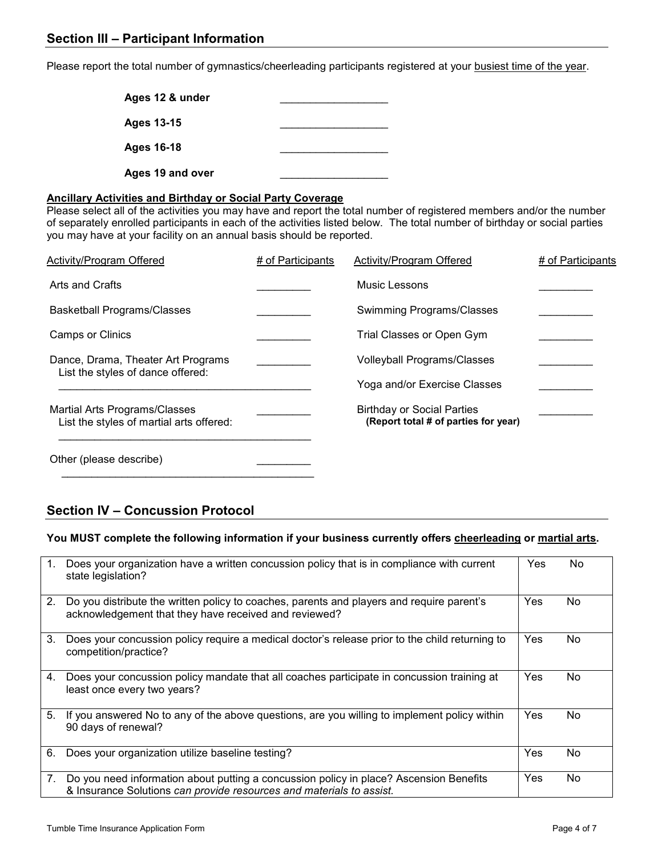Please report the total number of gymnastics/cheerleading participants registered at your busiest time of the year.

| Ages 12 & under   |  |
|-------------------|--|
| <b>Ages 13-15</b> |  |
| <b>Ages 16-18</b> |  |
| Ages 19 and over  |  |

#### **Ancillary Activities and Birthday or Social Party Coverage**

Please select all of the activities you may have and report the total number of registered members and/or the number of separately enrolled participants in each of the activities listed below. The total number of birthday or social parties you may have at your facility on an annual basis should be reported.

| <b>Activity/Program Offered</b>                                           | # of Participants | Activity/Program Offered                                                  | # of Participants |
|---------------------------------------------------------------------------|-------------------|---------------------------------------------------------------------------|-------------------|
| Arts and Crafts                                                           |                   | Music Lessons                                                             |                   |
| <b>Basketball Programs/Classes</b>                                        |                   | Swimming Programs/Classes                                                 |                   |
| <b>Camps or Clinics</b>                                                   |                   | Trial Classes or Open Gym                                                 |                   |
| Dance, Drama, Theater Art Programs                                        |                   | <b>Volleyball Programs/Classes</b>                                        |                   |
| List the styles of dance offered:                                         |                   | Yoga and/or Exercise Classes                                              |                   |
| Martial Arts Programs/Classes<br>List the styles of martial arts offered: |                   | <b>Birthday or Social Parties</b><br>(Report total # of parties for year) |                   |
| Other (please describe)                                                   |                   |                                                                           |                   |

## **Section IV – Concussion Protocol**

 $\frac{1}{2}$  ,  $\frac{1}{2}$  ,  $\frac{1}{2}$  ,  $\frac{1}{2}$  ,  $\frac{1}{2}$  ,  $\frac{1}{2}$  ,  $\frac{1}{2}$  ,  $\frac{1}{2}$  ,  $\frac{1}{2}$  ,  $\frac{1}{2}$  ,  $\frac{1}{2}$  ,  $\frac{1}{2}$  ,  $\frac{1}{2}$  ,  $\frac{1}{2}$  ,  $\frac{1}{2}$  ,  $\frac{1}{2}$  ,  $\frac{1}{2}$  ,  $\frac{1}{2}$  ,  $\frac{1$ 

#### **You MUST complete the following information if your business currently offers cheerleading or martial arts.**

| $\mathbf{1}$ . | Does your organization have a written concussion policy that is in compliance with current<br>state legislation?                                               | Yes | No. |
|----------------|----------------------------------------------------------------------------------------------------------------------------------------------------------------|-----|-----|
| 2.             | Do you distribute the written policy to coaches, parents and players and require parent's<br>acknowledgement that they have received and reviewed?             | Yes | No. |
| 3.             | Does your concussion policy require a medical doctor's release prior to the child returning to<br>competition/practice?                                        | Yes | No  |
| 4.             | Does your concussion policy mandate that all coaches participate in concussion training at<br>least once every two years?                                      | Yes | No. |
| 5.             | If you answered No to any of the above questions, are you willing to implement policy within<br>90 days of renewal?                                            | Yes | No. |
| 6.             | Does your organization utilize baseline testing?                                                                                                               | Yes | No  |
| 7.             | Do you need information about putting a concussion policy in place? Ascension Benefits<br>& Insurance Solutions can provide resources and materials to assist. | Yes | No. |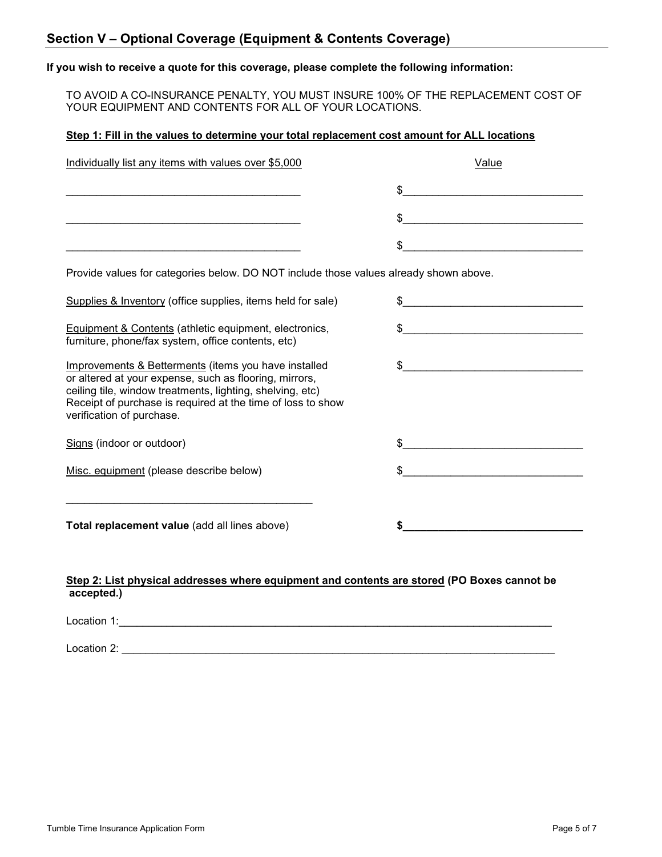#### **If you wish to receive a quote for this coverage, please complete the following information:**

TO AVOID A CO-INSURANCE PENALTY, YOU MUST INSURE 100% OF THE REPLACEMENT COST OF YOUR EQUIPMENT AND CONTENTS FOR ALL OF YOUR LOCATIONS.

#### **Step 1: Fill in the values to determine your total replacement cost amount for ALL locations**

| Value                                                                                 |
|---------------------------------------------------------------------------------------|
| $\frac{1}{2}$                                                                         |
| $\frac{1}{2}$                                                                         |
| $\sim$                                                                                |
| Provide values for categories below. DO NOT include those values already shown above. |
|                                                                                       |
| $\frac{1}{2}$                                                                         |
| $\int$                                                                                |
| \$                                                                                    |
|                                                                                       |
|                                                                                       |
|                                                                                       |
|                                                                                       |

#### **Step 2: List physical addresses where equipment and contents are stored (PO Boxes cannot be accepted.)**

Location 1:\_\_\_\_\_\_\_\_\_\_\_\_\_\_\_\_\_\_\_\_\_\_\_\_\_\_\_\_\_\_\_\_\_\_\_\_\_\_\_\_\_\_\_\_\_\_\_\_\_\_\_\_\_\_\_\_\_\_\_\_\_\_\_\_\_\_\_\_\_\_\_\_

Location 2: \_\_\_\_\_\_\_\_\_\_\_\_\_\_\_\_\_\_\_\_\_\_\_\_\_\_\_\_\_\_\_\_\_\_\_\_\_\_\_\_\_\_\_\_\_\_\_\_\_\_\_\_\_\_\_\_\_\_\_\_\_\_\_\_\_\_\_\_\_\_\_\_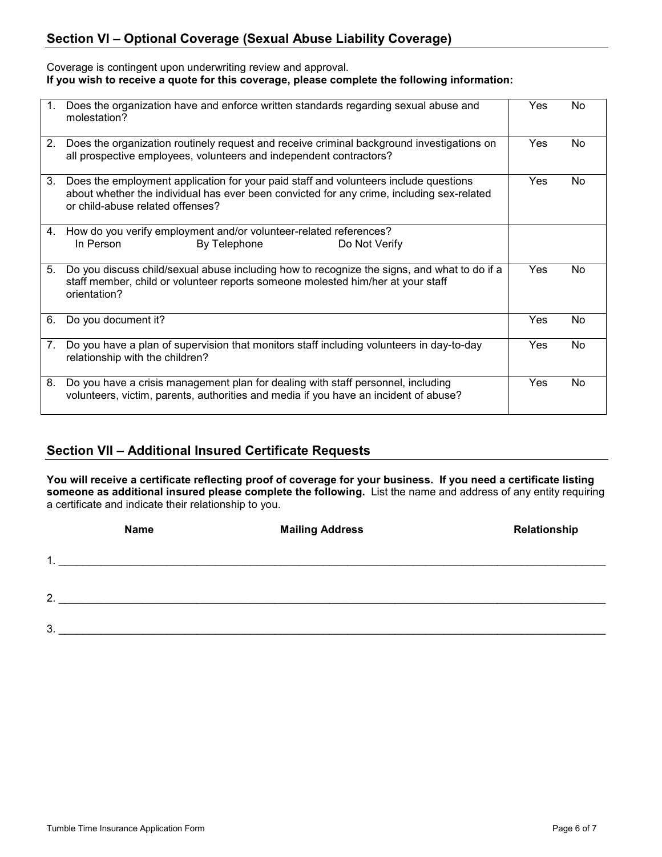## **Section VI – Optional Coverage (Sexual Abuse Liability Coverage)**

#### Coverage is contingent upon underwriting review and approval. **If you wish to receive a quote for this coverage, please complete the following information:**

| 1. | Does the organization have and enforce written standards regarding sexual abuse and<br>molestation?                                                                                                                   | Yes        | No. |
|----|-----------------------------------------------------------------------------------------------------------------------------------------------------------------------------------------------------------------------|------------|-----|
| 2. | Does the organization routinely request and receive criminal background investigations on<br>all prospective employees, volunteers and independent contractors?                                                       | Yes        | No. |
| 3. | Does the employment application for your paid staff and volunteers include questions<br>about whether the individual has ever been convicted for any crime, including sex-related<br>or child-abuse related offenses? | <b>Yes</b> | No. |
| 4. | How do you verify employment and/or volunteer-related references?<br>In Person<br>By Telephone<br>Do Not Verify                                                                                                       |            |     |
| 5. | Do you discuss child/sexual abuse including how to recognize the signs, and what to do if a<br>staff member, child or volunteer reports someone molested him/her at your staff<br>orientation?                        | Yes        | No. |
| 6. | Do you document it?                                                                                                                                                                                                   | Yes        | No. |
| 7. | Do you have a plan of supervision that monitors staff including volunteers in day-to-day<br>relationship with the children?                                                                                           | Yes        | No. |
| 8. | Do you have a crisis management plan for dealing with staff personnel, including<br>volunteers, victim, parents, authorities and media if you have an incident of abuse?                                              | Yes        | No. |

### **Section VII – Additional Insured Certificate Requests**

**You will receive a certificate reflecting proof of coverage for your business. If you need a certificate listing someone as additional insured please complete the following.** List the name and address of any entity requiring a certificate and indicate their relationship to you.

|                | <b>Name</b> | <b>Mailing Address</b> | Relationship |
|----------------|-------------|------------------------|--------------|
| 1              |             |                        |              |
| $\overline{2}$ |             |                        |              |
| 3 <sub>o</sub> |             |                        |              |